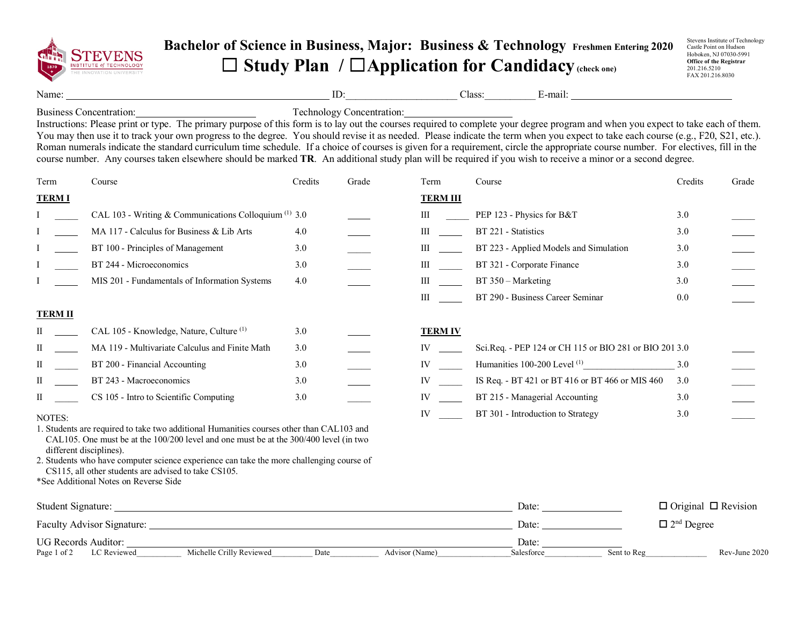

## **Bachelor of Science in Business, Major: Business & Technology Freshmen Entering 2020** ☐ **Study Plan /** ☐**Application for Candidacy(check one)**

Stevens Institute of Technology Castle Point on Hudson Hoboken, NJ 07030-5991 **Office of the Registrar** 201.216.5210 FAX 201.216.8030

Name: ID: Class: E-mail:

Business Concentration: Technology Concentration:

Instructions: Please print or type. The primary purpose of this form is to lay out the courses required to complete your degree program and when you expect to take each of them. You may then use it to track your own progress to the degree. You should revise it as needed. Please indicate the term when you expect to take each course (e.g., F20, S21, etc.). Roman numerals indicate the standard curriculum time schedule. If a choice of courses is given for a requirement, circle the appropriate course number. For electives, fill in the course number. Any courses taken elsewhere should be marked **TR**. An additional study plan will be required if you wish to receive a minor or a second degree.

| Term                                                                                                                                                                                                                                 | Course                                                                                                                                                                            | Credits | Grade | Term                                                                                                                                                                                                                           | Course                                                 | Credits | Grade                           |  |
|--------------------------------------------------------------------------------------------------------------------------------------------------------------------------------------------------------------------------------------|-----------------------------------------------------------------------------------------------------------------------------------------------------------------------------------|---------|-------|--------------------------------------------------------------------------------------------------------------------------------------------------------------------------------------------------------------------------------|--------------------------------------------------------|---------|---------------------------------|--|
| <b>TERMI</b>                                                                                                                                                                                                                         |                                                                                                                                                                                   |         |       | <b>TERM III</b>                                                                                                                                                                                                                |                                                        |         |                                 |  |
|                                                                                                                                                                                                                                      | CAL 103 - Writing & Communications Colloquium $(1)$ 3.0                                                                                                                           |         |       | Ш                                                                                                                                                                                                                              | PEP 123 - Physics for B&T                              | 3.0     |                                 |  |
|                                                                                                                                                                                                                                      | MA 117 - Calculus for Business & Lib Arts                                                                                                                                         | 4.0     |       | $\mathbf{III}$                                                                                                                                                                                                                 | BT 221 - Statistics                                    | 3.0     |                                 |  |
|                                                                                                                                                                                                                                      | BT 100 - Principles of Management                                                                                                                                                 | 3.0     |       | Ш                                                                                                                                                                                                                              | BT 223 - Applied Models and Simulation                 | 3.0     |                                 |  |
|                                                                                                                                                                                                                                      | BT 244 - Microeconomics                                                                                                                                                           | 3.0     |       | Ш                                                                                                                                                                                                                              | BT 321 - Corporate Finance                             | 3.0     |                                 |  |
|                                                                                                                                                                                                                                      | MIS 201 - Fundamentals of Information Systems                                                                                                                                     | 4.0     |       | $\mathbf{III}$                                                                                                                                                                                                                 | BT 350 – Marketing                                     | 3.0     |                                 |  |
|                                                                                                                                                                                                                                      |                                                                                                                                                                                   |         |       | Ш                                                                                                                                                                                                                              | BT 290 - Business Career Seminar                       | 0.0     |                                 |  |
| <b>TERM II</b>                                                                                                                                                                                                                       |                                                                                                                                                                                   |         |       |                                                                                                                                                                                                                                |                                                        |         |                                 |  |
| П                                                                                                                                                                                                                                    | CAL 105 - Knowledge, Nature, Culture <sup>(1)</sup>                                                                                                                               | 3.0     |       | <b>TERM IV</b>                                                                                                                                                                                                                 |                                                        |         |                                 |  |
| П                                                                                                                                                                                                                                    | MA 119 - Multivariate Calculus and Finite Math                                                                                                                                    | 3.0     |       | IV and the set of the set of the set of the set of the set of the set of the set of the set of the set of the set of the set of the set of the set of the set of the set of the set of the set of the set of the set of the se | Sci.Req. - PEP 124 or CH 115 or BIO 281 or BIO 201 3.0 |         |                                 |  |
| П                                                                                                                                                                                                                                    | BT 200 - Financial Accounting                                                                                                                                                     | 3.0     |       | IV $\qquad$                                                                                                                                                                                                                    | Humanities 100-200 Level <sup>(1)</sup>                | 3.0     |                                 |  |
| II                                                                                                                                                                                                                                   | BT 243 - Macroeconomics                                                                                                                                                           | 3.0     |       | IV and the set of the set of the set of the set of the set of the set of the set of the set of the set of the set of the set of the set of the set of the set of the set of the set of the set of the set of the set of the se | IS Req. - BT 421 or BT 416 or BT 466 or MIS 460        | 3.0     |                                 |  |
| П                                                                                                                                                                                                                                    | CS 105 - Intro to Scientific Computing                                                                                                                                            | 3.0     |       | IV                                                                                                                                                                                                                             | BT 215 - Managerial Accounting                         | 3.0     |                                 |  |
| NOTES:                                                                                                                                                                                                                               |                                                                                                                                                                                   |         |       | IV                                                                                                                                                                                                                             | BT 301 - Introduction to Strategy                      | 3.0     |                                 |  |
| different disciplines).                                                                                                                                                                                                              | 1. Students are required to take two additional Humanities courses other than CAL103 and<br>CAL105. One must be at the 100/200 level and one must be at the 300/400 level (in two |         |       |                                                                                                                                                                                                                                |                                                        |         |                                 |  |
|                                                                                                                                                                                                                                      | 2. Students who have computer science experience can take the more challenging course of<br>CS115, all other students are advised to take CS105.                                  |         |       |                                                                                                                                                                                                                                |                                                        |         |                                 |  |
|                                                                                                                                                                                                                                      | *See Additional Notes on Reverse Side                                                                                                                                             |         |       |                                                                                                                                                                                                                                |                                                        |         |                                 |  |
| Student Signature: <u>New York: New York: New York: New York: New York: New York: New York: New York: New York: New York: New York: New York: New York: New York: New York: New York: New York: New York: New York: New York: Ne</u> |                                                                                                                                                                                   |         |       |                                                                                                                                                                                                                                | Date:                                                  |         | $\Box$ Original $\Box$ Revision |  |
| Faculty Advisor Signature: Lease and Security Advisor Signature:                                                                                                                                                                     |                                                                                                                                                                                   |         |       |                                                                                                                                                                                                                                | $\Box$ 2 <sup>nd</sup> Degree<br>Date:                 |         |                                 |  |
| <b>UG Records Auditor:</b>                                                                                                                                                                                                           | Michelle Crilly Reviewed<br>Page 1 of 2 LC Reviewed                                                                                                                               | Date    |       | Advisor (Name)                                                                                                                                                                                                                 | Date:<br>Sent to Reg<br>Salesforce                     |         | Rev-June 2020                   |  |